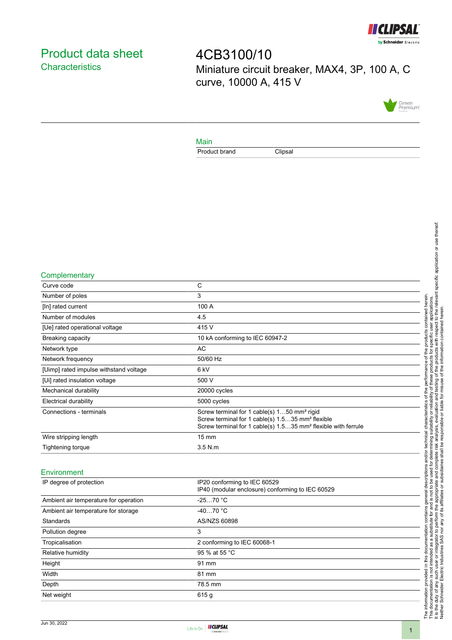

# <span id="page-0-0"></span>Product data sheet **Characteristics**

4CB3100/10 Miniature circuit breaker, MAX4, 3P, 100 A, C curve, 10000 A, 415 V



### Main

Product brand Clipsal

#### **Complementary**

| Curve code                             | C                                                                                                                                                                                                    |
|----------------------------------------|------------------------------------------------------------------------------------------------------------------------------------------------------------------------------------------------------|
| Number of poles                        | 3                                                                                                                                                                                                    |
| [In] rated current                     | 100 A                                                                                                                                                                                                |
| Number of modules                      | 4.5                                                                                                                                                                                                  |
| [Ue] rated operational voltage         | 415 V                                                                                                                                                                                                |
| Breaking capacity                      | 10 kA conforming to IEC 60947-2                                                                                                                                                                      |
| Network type                           | AC                                                                                                                                                                                                   |
| Network frequency                      | 50/60 Hz                                                                                                                                                                                             |
| [Uimp] rated impulse withstand voltage | 6 kV                                                                                                                                                                                                 |
| [Ui] rated insulation voltage          | 500 V                                                                                                                                                                                                |
| Mechanical durability                  | 20000 cycles                                                                                                                                                                                         |
| Electrical durability                  | 5000 cycles                                                                                                                                                                                          |
| Connections - terminals                | Screw terminal for 1 cable(s) 150 mm <sup>2</sup> rigid<br>Screw terminal for 1 cable(s) 1.535 mm <sup>2</sup> flexible<br>Screw terminal for 1 cable(s) 1.535 mm <sup>2</sup> flexible with ferrule |
| Wire stripping length                  | $15 \text{ mm}$                                                                                                                                                                                      |
| Tightening torque                      | $3.5$ N.m.                                                                                                                                                                                           |
| Environment                            |                                                                                                                                                                                                      |
|                                        | $\sim$<br>.                                                                                                                                                                                          |

| IP degree of protection               | IP20 conforming to IEC 60529<br>IP40 (modular enclosure) conforming to IEC 60529 |
|---------------------------------------|----------------------------------------------------------------------------------|
| Ambient air temperature for operation | $-2570 °C$                                                                       |
| Ambient air temperature for storage   | $-4070 °C$                                                                       |
| Standards                             | AS/NZS 60898                                                                     |
| Pollution degree                      | 3                                                                                |
| Tropicalisation                       | 2 conforming to IEC 60068-1                                                      |
| Relative humidity                     | 95 % at 55 °C                                                                    |
| Height                                | 91 mm                                                                            |
| Width                                 | 81 mm                                                                            |
| Depth                                 | 78.5 mm                                                                          |
| Net weight                            | 615q                                                                             |